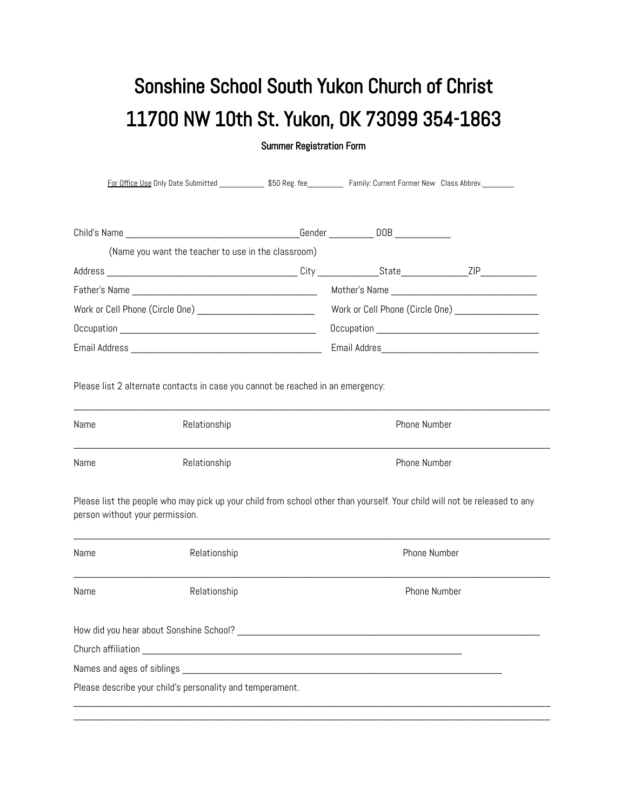## Sonshine School South Yukon Church of Christ 11700 NW 10th St. Yukon, OK 73099 354-1863

Summer Registration Form

| (Name you want the teacher to use in the classroom)                             |  |                                                    |  |  |
|---------------------------------------------------------------------------------|--|----------------------------------------------------|--|--|
|                                                                                 |  |                                                    |  |  |
|                                                                                 |  |                                                    |  |  |
| Work or Cell Phone (Circle One) ___________________________                     |  | Work or Cell Phone (Circle One) __________________ |  |  |
|                                                                                 |  |                                                    |  |  |
|                                                                                 |  |                                                    |  |  |
|                                                                                 |  |                                                    |  |  |
| Please list 2 alternate contacts in case you cannot be reached in an emergency: |  |                                                    |  |  |
|                                                                                 |  |                                                    |  |  |

| Name | Relationship | Phone Number |
|------|--------------|--------------|
| Name | Relationship | Phone Number |

Please list the people who may pick up your child from school other than yourself. Your child will not be released to any person without your permission.

 $\_$  , and the set of the set of the set of the set of the set of the set of the set of the set of the set of the set of the set of the set of the set of the set of the set of the set of the set of the set of the set of th

| Name                                  | Relationship                                              | Phone Number |  |
|---------------------------------------|-----------------------------------------------------------|--------------|--|
| Name                                  | Relationship                                              | Phone Number |  |
|                                       | How did you hear about Sonshine School?                   |              |  |
| Church affiliation                    |                                                           |              |  |
| Names and ages of siblings __________ |                                                           |              |  |
|                                       | Please describe your child's personality and temperament. |              |  |

 $\_$  , and the set of the set of the set of the set of the set of the set of the set of the set of the set of the set of the set of the set of the set of the set of the set of the set of the set of the set of the set of th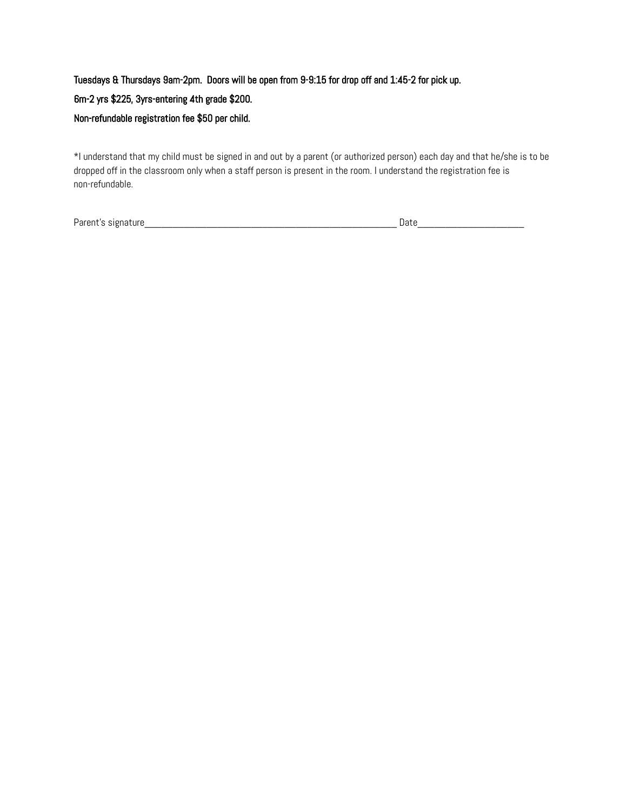Tuesdays & Thursdays 9am-2pm. Doors will be open from 9-9:15 for drop off and 1:45-2 for pick up. 6m-2 yrs \$225, 3yrs-entering 4th grade \$200. Non-refundable registration fee \$50 per child.

\*I understand that my child must be signed in and out by a parent (or authorized person) each day and that he/she is to be dropped off in the classroom only when a staff person is present in the room. I understand the registration fee is non-refundable.

Parent's signature\_\_\_\_\_\_\_\_\_\_\_\_\_\_\_\_\_\_\_\_\_\_\_\_\_\_\_\_\_\_\_\_\_\_\_\_\_\_\_\_\_\_\_\_\_ Date\_\_\_\_\_\_\_\_\_\_\_\_\_\_\_\_\_\_\_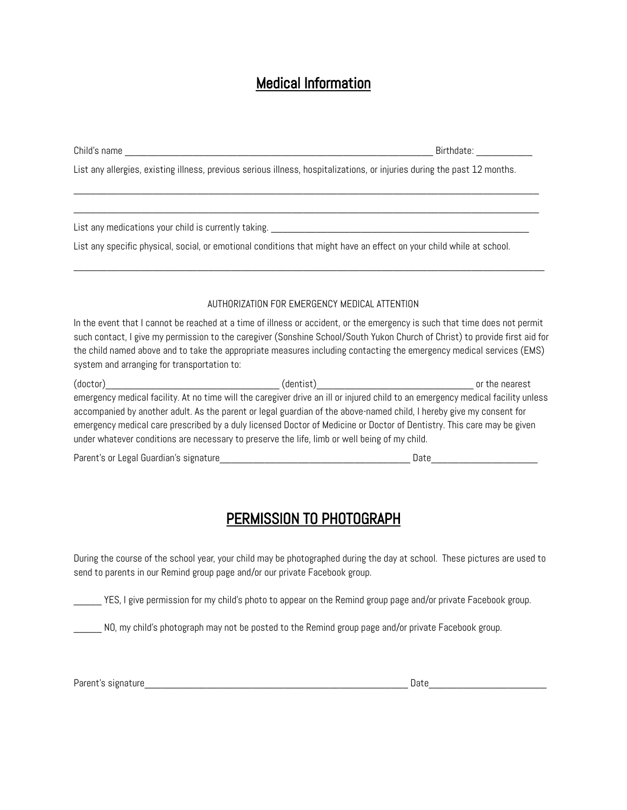## Medical Information

|                                                                                                                          | Birthdate: ____________                                                                                                                                                                                                                                                                                                                                                           |  |  |
|--------------------------------------------------------------------------------------------------------------------------|-----------------------------------------------------------------------------------------------------------------------------------------------------------------------------------------------------------------------------------------------------------------------------------------------------------------------------------------------------------------------------------|--|--|
| List any allergies, existing illness, previous serious illness, hospitalizations, or injuries during the past 12 months. |                                                                                                                                                                                                                                                                                                                                                                                   |  |  |
|                                                                                                                          |                                                                                                                                                                                                                                                                                                                                                                                   |  |  |
|                                                                                                                          | List any specific physical, social, or emotional conditions that might have an effect on your child while at school.                                                                                                                                                                                                                                                              |  |  |
|                                                                                                                          | AUTHORIZATION FOR EMERGENCY MEDICAL ATTENTION                                                                                                                                                                                                                                                                                                                                     |  |  |
| system and arranging for transportation to:                                                                              | In the event that I cannot be reached at a time of illness or accident, or the emergency is such that time does not permit<br>such contact, I give my permission to the caregiver (Sonshine School/South Yukon Church of Christ) to provide first aid for<br>the child named above and to take the appropriate measures including contacting the emergency medical services (EMS) |  |  |
| under whatever conditions are necessary to preserve the life, limb or well being of my child.                            | emergency medical facility. At no time will the caregiver drive an ill or injured child to an emergency medical facility unless<br>accompanied by another adult. As the parent or legal guardian of the above-named child, I hereby give my consent for<br>emergency medical care prescribed by a duly licensed Doctor of Medicine or Doctor of Dentistry. This care may be given |  |  |
|                                                                                                                          | Date and the contract of the contract of the contract of the contract of the contract of the contract of the contract of the contract of the contract of the contract of the contract of the contract of the contract of the c                                                                                                                                                    |  |  |

## PERMISSION TO PHOTOGRAPH

During the course of the school year, your child may be photographed during the day at school. These pictures are used to send to parents in our Remind group page and/or our private Facebook group.

\_\_\_\_\_ YES, I give permission for my child's photo to appear on the Remind group page and/or private Facebook group.

NO, my child's photograph may not be posted to the Remind group page and/or private Facebook group.

Parent's signature\_\_\_\_\_\_\_\_\_\_\_\_\_\_\_\_\_\_\_\_\_\_\_\_\_\_\_\_\_\_\_\_\_\_\_\_\_\_\_\_\_\_\_\_\_\_\_ Date\_\_\_\_\_\_\_\_\_\_\_\_\_\_\_\_\_\_\_\_\_